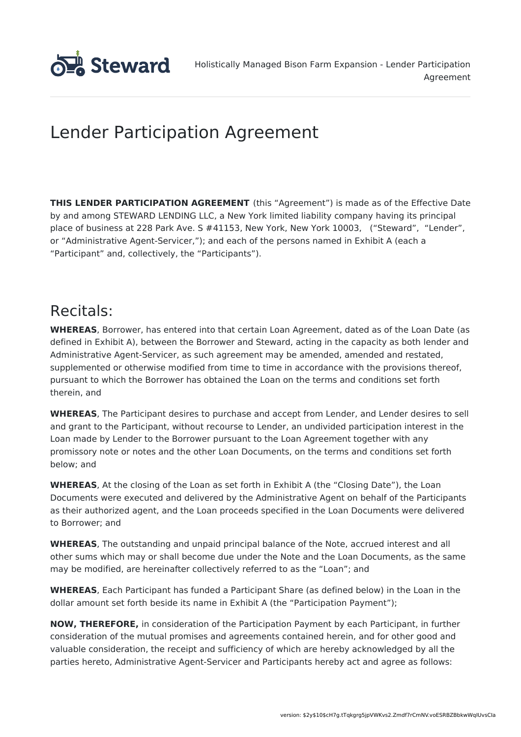

# Lender Participation Agreement

**THIS LENDER PARTICIPATION AGREEMENT** (this "Agreement") is made as of the Effective Date by and among STEWARD LENDING LLC, a New York limited liability company having its principal place of business at 228 Park Ave. S #41153, New York, New York 10003, ("Steward", "Lender", or "Administrative Agent-Servicer,"); and each of the persons named in Exhibit A (each a "Participant" and, collectively, the "Participants").

## Recitals:

**WHEREAS**, Borrower, has entered into that certain Loan Agreement, dated as of the Loan Date (as defined in Exhibit A), between the Borrower and Steward, acting in the capacity as both lender and Administrative Agent-Servicer, as such agreement may be amended, amended and restated, supplemented or otherwise modified from time to time in accordance with the provisions thereof, pursuant to which the Borrower has obtained the Loan on the terms and conditions set forth therein, and

**WHEREAS**, The Participant desires to purchase and accept from Lender, and Lender desires to sell and grant to the Participant, without recourse to Lender, an undivided participation interest in the Loan made by Lender to the Borrower pursuant to the Loan Agreement together with any promissory note or notes and the other Loan Documents, on the terms and conditions set forth below; and

**WHEREAS**, At the closing of the Loan as set forth in Exhibit A (the "Closing Date"), the Loan Documents were executed and delivered by the Administrative Agent on behalf of the Participants as their authorized agent, and the Loan proceeds specified in the Loan Documents were delivered to Borrower; and

**WHEREAS**, The outstanding and unpaid principal balance of the Note, accrued interest and all other sums which may or shall become due under the Note and the Loan Documents, as the same may be modified, are hereinafter collectively referred to as the "Loan"; and

**WHEREAS**, Each Participant has funded a Participant Share (as defined below) in the Loan in the dollar amount set forth beside its name in Exhibit A (the "Participation Payment");

**NOW, THEREFORE,** in consideration of the Participation Payment by each Participant, in further consideration of the mutual promises and agreements contained herein, and for other good and valuable consideration, the receipt and sufficiency of which are hereby acknowledged by all the parties hereto, Administrative Agent-Servicer and Participants hereby act and agree as follows: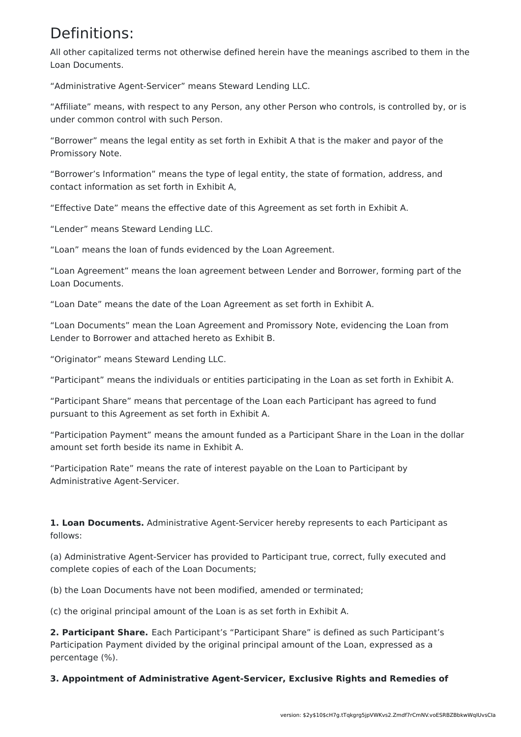## Definitions:

All other capitalized terms not otherwise defined herein have the meanings ascribed to them in the Loan Documents.

"Administrative Agent-Servicer" means Steward Lending LLC.

"Affiliate" means, with respect to any Person, any other Person who controls, is controlled by, or is under common control with such Person.

"Borrower" means the legal entity as set forth in Exhibit A that is the maker and payor of the Promissory Note.

"Borrower's Information" means the type of legal entity, the state of formation, address, and contact information as set forth in Exhibit A,

"Effective Date" means the effective date of this Agreement as set forth in Exhibit A.

"Lender" means Steward Lending LLC.

"Loan" means the loan of funds evidenced by the Loan Agreement.

"Loan Agreement" means the loan agreement between Lender and Borrower, forming part of the Loan Documents.

"Loan Date" means the date of the Loan Agreement as set forth in Exhibit A.

"Loan Documents" mean the Loan Agreement and Promissory Note, evidencing the Loan from Lender to Borrower and attached hereto as Exhibit B.

"Originator" means Steward Lending LLC.

"Participant" means the individuals or entities participating in the Loan as set forth in Exhibit A.

"Participant Share" means that percentage of the Loan each Participant has agreed to fund pursuant to this Agreement as set forth in Exhibit A.

"Participation Payment" means the amount funded as a Participant Share in the Loan in the dollar amount set forth beside its name in Exhibit A.

"Participation Rate" means the rate of interest payable on the Loan to Participant by Administrative Agent-Servicer.

**1. Loan Documents.** Administrative Agent-Servicer hereby represents to each Participant as follows:

(a) Administrative Agent-Servicer has provided to Participant true, correct, fully executed and complete copies of each of the Loan Documents;

(b) the Loan Documents have not been modified, amended or terminated;

(c) the original principal amount of the Loan is as set forth in Exhibit A.

**2. Participant Share.** Each Participant's "Participant Share" is defined as such Participant's Participation Payment divided by the original principal amount of the Loan, expressed as a percentage (%).

**3. Appointment of Administrative Agent-Servicer, Exclusive Rights and Remedies of**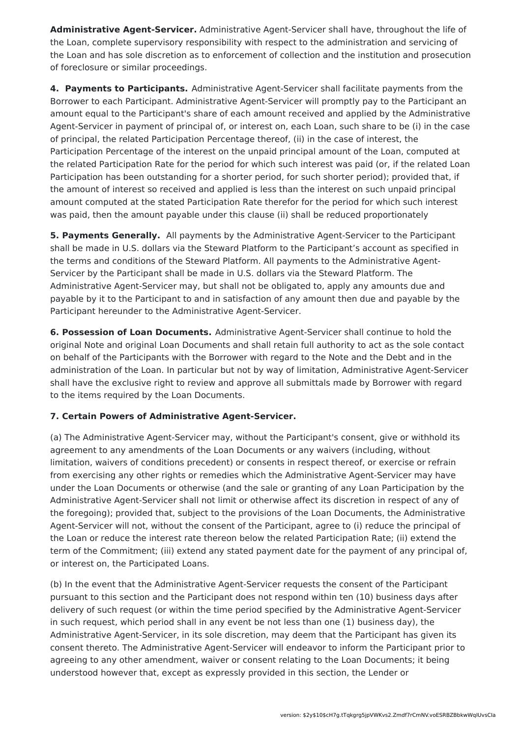**Administrative Agent-Servicer.** Administrative Agent-Servicer shall have, throughout the life of the Loan, complete supervisory responsibility with respect to the administration and servicing of the Loan and has sole discretion as to enforcement of collection and the institution and prosecution of foreclosure or similar proceedings.

**4. Payments to Participants.** Administrative Agent-Servicer shall facilitate payments from the Borrower to each Participant. Administrative Agent-Servicer will promptly pay to the Participant an amount equal to the Participant's share of each amount received and applied by the Administrative Agent-Servicer in payment of principal of, or interest on, each Loan, such share to be (i) in the case of principal, the related Participation Percentage thereof, (ii) in the case of interest, the Participation Percentage of the interest on the unpaid principal amount of the Loan, computed at the related Participation Rate for the period for which such interest was paid (or, if the related Loan Participation has been outstanding for a shorter period, for such shorter period); provided that, if the amount of interest so received and applied is less than the interest on such unpaid principal amount computed at the stated Participation Rate therefor for the period for which such interest was paid, then the amount payable under this clause (ii) shall be reduced proportionately

**5. Payments Generally.** All payments by the Administrative Agent-Servicer to the Participant shall be made in U.S. dollars via the Steward Platform to the Participant's account as specified in the terms and conditions of the Steward Platform. All payments to the Administrative Agent-Servicer by the Participant shall be made in U.S. dollars via the Steward Platform. The Administrative Agent-Servicer may, but shall not be obligated to, apply any amounts due and payable by it to the Participant to and in satisfaction of any amount then due and payable by the Participant hereunder to the Administrative Agent-Servicer.

**6. Possession of Loan Documents.** Administrative Agent-Servicer shall continue to hold the original Note and original Loan Documents and shall retain full authority to act as the sole contact on behalf of the Participants with the Borrower with regard to the Note and the Debt and in the administration of the Loan. In particular but not by way of limitation, Administrative Agent-Servicer shall have the exclusive right to review and approve all submittals made by Borrower with regard to the items required by the Loan Documents.

### **7. Certain Powers of Administrative Agent-Servicer.**

(a) The Administrative Agent-Servicer may, without the Participant's consent, give or withhold its agreement to any amendments of the Loan Documents or any waivers (including, without limitation, waivers of conditions precedent) or consents in respect thereof, or exercise or refrain from exercising any other rights or remedies which the Administrative Agent-Servicer may have under the Loan Documents or otherwise (and the sale or granting of any Loan Participation by the Administrative Agent-Servicer shall not limit or otherwise affect its discretion in respect of any of the foregoing); provided that, subject to the provisions of the Loan Documents, the Administrative Agent-Servicer will not, without the consent of the Participant, agree to (i) reduce the principal of the Loan or reduce the interest rate thereon below the related Participation Rate; (ii) extend the term of the Commitment; (iii) extend any stated payment date for the payment of any principal of, or interest on, the Participated Loans.

(b) In the event that the Administrative Agent-Servicer requests the consent of the Participant pursuant to this section and the Participant does not respond within ten (10) business days after delivery of such request (or within the time period specified by the Administrative Agent-Servicer in such request, which period shall in any event be not less than one (1) business day), the Administrative Agent-Servicer, in its sole discretion, may deem that the Participant has given its consent thereto. The Administrative Agent-Servicer will endeavor to inform the Participant prior to agreeing to any other amendment, waiver or consent relating to the Loan Documents; it being understood however that, except as expressly provided in this section, the Lender or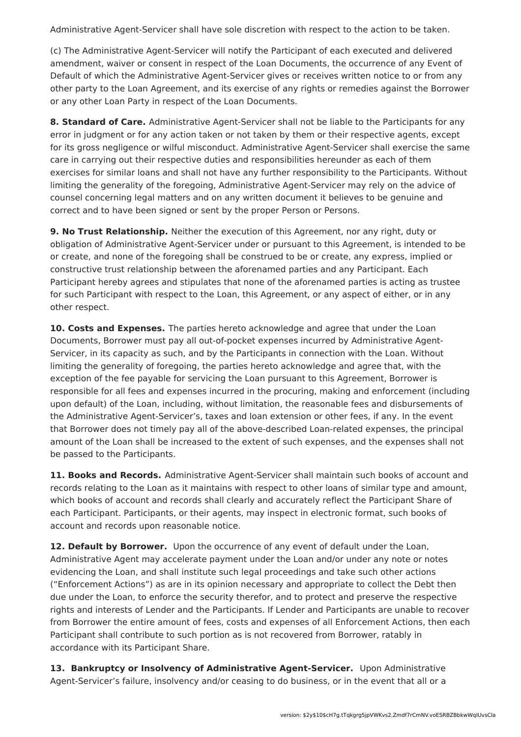Administrative Agent-Servicer shall have sole discretion with respect to the action to be taken.

(c) The Administrative Agent-Servicer will notify the Participant of each executed and delivered amendment, waiver or consent in respect of the Loan Documents, the occurrence of any Event of Default of which the Administrative Agent-Servicer gives or receives written notice to or from any other party to the Loan Agreement, and its exercise of any rights or remedies against the Borrower or any other Loan Party in respect of the Loan Documents.

**8. Standard of Care.** Administrative Agent-Servicer shall not be liable to the Participants for any error in judgment or for any action taken or not taken by them or their respective agents, except for its gross negligence or wilful misconduct. Administrative Agent-Servicer shall exercise the same care in carrying out their respective duties and responsibilities hereunder as each of them exercises for similar loans and shall not have any further responsibility to the Participants. Without limiting the generality of the foregoing, Administrative Agent-Servicer may rely on the advice of counsel concerning legal matters and on any written document it believes to be genuine and correct and to have been signed or sent by the proper Person or Persons.

**9. No Trust Relationship.** Neither the execution of this Agreement, nor any right, duty or obligation of Administrative Agent-Servicer under or pursuant to this Agreement, is intended to be or create, and none of the foregoing shall be construed to be or create, any express, implied or constructive trust relationship between the aforenamed parties and any Participant. Each Participant hereby agrees and stipulates that none of the aforenamed parties is acting as trustee for such Participant with respect to the Loan, this Agreement, or any aspect of either, or in any other respect.

**10. Costs and Expenses.** The parties hereto acknowledge and agree that under the Loan Documents, Borrower must pay all out-of-pocket expenses incurred by Administrative Agent-Servicer, in its capacity as such, and by the Participants in connection with the Loan. Without limiting the generality of foregoing, the parties hereto acknowledge and agree that, with the exception of the fee payable for servicing the Loan pursuant to this Agreement, Borrower is responsible for all fees and expenses incurred in the procuring, making and enforcement (including upon default) of the Loan, including, without limitation, the reasonable fees and disbursements of the Administrative Agent-Servicer's, taxes and loan extension or other fees, if any. In the event that Borrower does not timely pay all of the above-described Loan-related expenses, the principal amount of the Loan shall be increased to the extent of such expenses, and the expenses shall not be passed to the Participants.

**11. Books and Records.** Administrative Agent-Servicer shall maintain such books of account and records relating to the Loan as it maintains with respect to other loans of similar type and amount, which books of account and records shall clearly and accurately reflect the Participant Share of each Participant. Participants, or their agents, may inspect in electronic format, such books of account and records upon reasonable notice.

**12. Default by Borrower.** Upon the occurrence of any event of default under the Loan, Administrative Agent may accelerate payment under the Loan and/or under any note or notes evidencing the Loan, and shall institute such legal proceedings and take such other actions ("Enforcement Actions") as are in its opinion necessary and appropriate to collect the Debt then due under the Loan, to enforce the security therefor, and to protect and preserve the respective rights and interests of Lender and the Participants. If Lender and Participants are unable to recover from Borrower the entire amount of fees, costs and expenses of all Enforcement Actions, then each Participant shall contribute to such portion as is not recovered from Borrower, ratably in accordance with its Participant Share.

**13. Bankruptcy or Insolvency of Administrative Agent-Servicer.** Upon Administrative Agent-Servicer's failure, insolvency and/or ceasing to do business, or in the event that all or a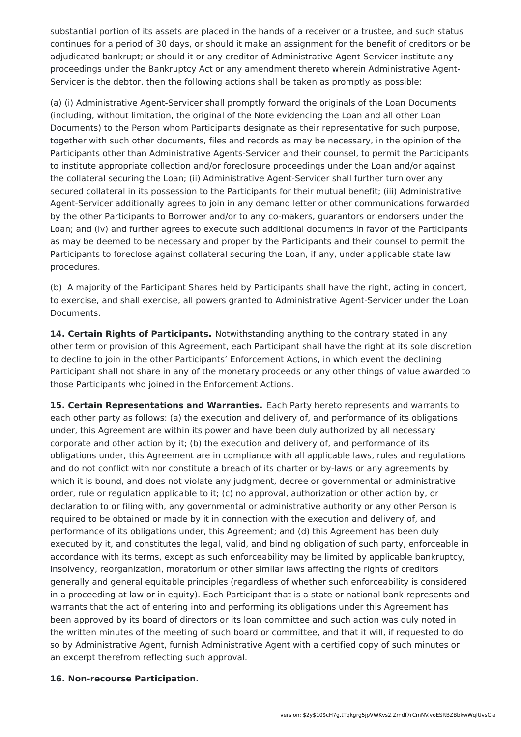substantial portion of its assets are placed in the hands of a receiver or a trustee, and such status continues for a period of 30 days, or should it make an assignment for the benefit of creditors or be adjudicated bankrupt; or should it or any creditor of Administrative Agent-Servicer institute any proceedings under the Bankruptcy Act or any amendment thereto wherein Administrative Agent-Servicer is the debtor, then the following actions shall be taken as promptly as possible:

(a) (i) Administrative Agent-Servicer shall promptly forward the originals of the Loan Documents (including, without limitation, the original of the Note evidencing the Loan and all other Loan Documents) to the Person whom Participants designate as their representative for such purpose, together with such other documents, files and records as may be necessary, in the opinion of the Participants other than Administrative Agents-Servicer and their counsel, to permit the Participants to institute appropriate collection and/or foreclosure proceedings under the Loan and/or against the collateral securing the Loan; (ii) Administrative Agent-Servicer shall further turn over any secured collateral in its possession to the Participants for their mutual benefit; (iii) Administrative Agent-Servicer additionally agrees to join in any demand letter or other communications forwarded by the other Participants to Borrower and/or to any co-makers, guarantors or endorsers under the Loan; and (iv) and further agrees to execute such additional documents in favor of the Participants as may be deemed to be necessary and proper by the Participants and their counsel to permit the Participants to foreclose against collateral securing the Loan, if any, under applicable state law procedures.

(b) A majority of the Participant Shares held by Participants shall have the right, acting in concert, to exercise, and shall exercise, all powers granted to Administrative Agent-Servicer under the Loan Documents.

**14. Certain Rights of Participants.** Notwithstanding anything to the contrary stated in any other term or provision of this Agreement, each Participant shall have the right at its sole discretion to decline to join in the other Participants' Enforcement Actions, in which event the declining Participant shall not share in any of the monetary proceeds or any other things of value awarded to those Participants who joined in the Enforcement Actions.

**15. Certain Representations and Warranties.** Each Party hereto represents and warrants to each other party as follows: (a) the execution and delivery of, and performance of its obligations under, this Agreement are within its power and have been duly authorized by all necessary corporate and other action by it; (b) the execution and delivery of, and performance of its obligations under, this Agreement are in compliance with all applicable laws, rules and regulations and do not conflict with nor constitute a breach of its charter or by-laws or any agreements by which it is bound, and does not violate any judgment, decree or governmental or administrative order, rule or regulation applicable to it; (c) no approval, authorization or other action by, or declaration to or filing with, any governmental or administrative authority or any other Person is required to be obtained or made by it in connection with the execution and delivery of, and performance of its obligations under, this Agreement; and (d) this Agreement has been duly executed by it, and constitutes the legal, valid, and binding obligation of such party, enforceable in accordance with its terms, except as such enforceability may be limited by applicable bankruptcy, insolvency, reorganization, moratorium or other similar laws affecting the rights of creditors generally and general equitable principles (regardless of whether such enforceability is considered in a proceeding at law or in equity). Each Participant that is a state or national bank represents and warrants that the act of entering into and performing its obligations under this Agreement has been approved by its board of directors or its loan committee and such action was duly noted in the written minutes of the meeting of such board or committee, and that it will, if requested to do so by Administrative Agent, furnish Administrative Agent with a certified copy of such minutes or an excerpt therefrom reflecting such approval.

#### **16. Non-recourse Participation.**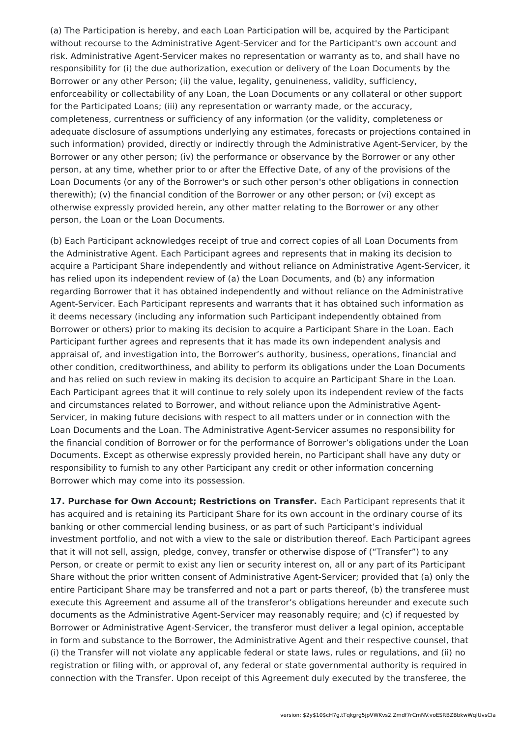(a) The Participation is hereby, and each Loan Participation will be, acquired by the Participant without recourse to the Administrative Agent-Servicer and for the Participant's own account and risk. Administrative Agent-Servicer makes no representation or warranty as to, and shall have no responsibility for (i) the due authorization, execution or delivery of the Loan Documents by the Borrower or any other Person; (ii) the value, legality, genuineness, validity, sufficiency, enforceability or collectability of any Loan, the Loan Documents or any collateral or other support for the Participated Loans; (iii) any representation or warranty made, or the accuracy, completeness, currentness or sufficiency of any information (or the validity, completeness or adequate disclosure of assumptions underlying any estimates, forecasts or projections contained in such information) provided, directly or indirectly through the Administrative Agent-Servicer, by the Borrower or any other person; (iv) the performance or observance by the Borrower or any other person, at any time, whether prior to or after the Effective Date, of any of the provisions of the Loan Documents (or any of the Borrower's or such other person's other obligations in connection therewith); (v) the financial condition of the Borrower or any other person; or (vi) except as otherwise expressly provided herein, any other matter relating to the Borrower or any other person, the Loan or the Loan Documents.

(b) Each Participant acknowledges receipt of true and correct copies of all Loan Documents from the Administrative Agent. Each Participant agrees and represents that in making its decision to acquire a Participant Share independently and without reliance on Administrative Agent-Servicer, it has relied upon its independent review of (a) the Loan Documents, and (b) any information regarding Borrower that it has obtained independently and without reliance on the Administrative Agent-Servicer. Each Participant represents and warrants that it has obtained such information as it deems necessary (including any information such Participant independently obtained from Borrower or others) prior to making its decision to acquire a Participant Share in the Loan. Each Participant further agrees and represents that it has made its own independent analysis and appraisal of, and investigation into, the Borrower's authority, business, operations, financial and other condition, creditworthiness, and ability to perform its obligations under the Loan Documents and has relied on such review in making its decision to acquire an Participant Share in the Loan. Each Participant agrees that it will continue to rely solely upon its independent review of the facts and circumstances related to Borrower, and without reliance upon the Administrative Agent-Servicer, in making future decisions with respect to all matters under or in connection with the Loan Documents and the Loan. The Administrative Agent-Servicer assumes no responsibility for the financial condition of Borrower or for the performance of Borrower's obligations under the Loan Documents. Except as otherwise expressly provided herein, no Participant shall have any duty or responsibility to furnish to any other Participant any credit or other information concerning Borrower which may come into its possession.

**17. Purchase for Own Account; Restrictions on Transfer.** Each Participant represents that it has acquired and is retaining its Participant Share for its own account in the ordinary course of its banking or other commercial lending business, or as part of such Participant's individual investment portfolio, and not with a view to the sale or distribution thereof. Each Participant agrees that it will not sell, assign, pledge, convey, transfer or otherwise dispose of ("Transfer") to any Person, or create or permit to exist any lien or security interest on, all or any part of its Participant Share without the prior written consent of Administrative Agent-Servicer; provided that (a) only the entire Participant Share may be transferred and not a part or parts thereof, (b) the transferee must execute this Agreement and assume all of the transferor's obligations hereunder and execute such documents as the Administrative Agent-Servicer may reasonably require; and (c) if requested by Borrower or Administrative Agent-Servicer, the transferor must deliver a legal opinion, acceptable in form and substance to the Borrower, the Administrative Agent and their respective counsel, that (i) the Transfer will not violate any applicable federal or state laws, rules or regulations, and (ii) no registration or filing with, or approval of, any federal or state governmental authority is required in connection with the Transfer. Upon receipt of this Agreement duly executed by the transferee, the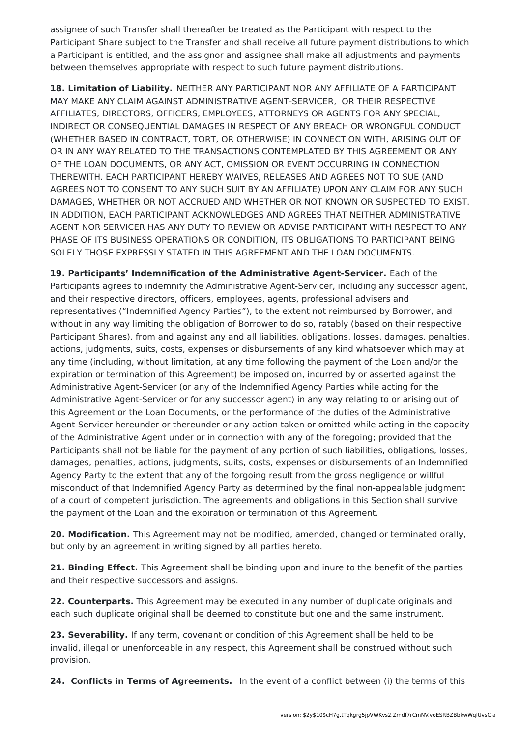assignee of such Transfer shall thereafter be treated as the Participant with respect to the Participant Share subject to the Transfer and shall receive all future payment distributions to which a Participant is entitled, and the assignor and assignee shall make all adjustments and payments between themselves appropriate with respect to such future payment distributions.

**18. Limitation of Liability.** NEITHER ANY PARTICIPANT NOR ANY AFFILIATE OF A PARTICIPANT MAY MAKE ANY CLAIM AGAINST ADMINISTRATIVE AGENT-SERVICER, OR THEIR RESPECTIVE AFFILIATES, DIRECTORS, OFFICERS, EMPLOYEES, ATTORNEYS OR AGENTS FOR ANY SPECIAL, INDIRECT OR CONSEQUENTIAL DAMAGES IN RESPECT OF ANY BREACH OR WRONGFUL CONDUCT (WHETHER BASED IN CONTRACT, TORT, OR OTHERWISE) IN CONNECTION WITH, ARISING OUT OF OR IN ANY WAY RELATED TO THE TRANSACTIONS CONTEMPLATED BY THIS AGREEMENT OR ANY OF THE LOAN DOCUMENTS, OR ANY ACT, OMISSION OR EVENT OCCURRING IN CONNECTION THEREWITH. EACH PARTICIPANT HEREBY WAIVES, RELEASES AND AGREES NOT TO SUE (AND AGREES NOT TO CONSENT TO ANY SUCH SUIT BY AN AFFILIATE) UPON ANY CLAIM FOR ANY SUCH DAMAGES, WHETHER OR NOT ACCRUED AND WHETHER OR NOT KNOWN OR SUSPECTED TO EXIST. IN ADDITION, EACH PARTICIPANT ACKNOWLEDGES AND AGREES THAT NEITHER ADMINISTRATIVE AGENT NOR SERVICER HAS ANY DUTY TO REVIEW OR ADVISE PARTICIPANT WITH RESPECT TO ANY PHASE OF ITS BUSINESS OPERATIONS OR CONDITION, ITS OBLIGATIONS TO PARTICIPANT BEING SOLELY THOSE EXPRESSLY STATED IN THIS AGREEMENT AND THE LOAN DOCUMENTS.

**19. Participants' Indemnification of the Administrative Agent-Servicer.** Each of the Participants agrees to indemnify the Administrative Agent-Servicer, including any successor agent, and their respective directors, officers, employees, agents, professional advisers and representatives ("Indemnified Agency Parties"), to the extent not reimbursed by Borrower, and without in any way limiting the obligation of Borrower to do so, ratably (based on their respective Participant Shares), from and against any and all liabilities, obligations, losses, damages, penalties, actions, judgments, suits, costs, expenses or disbursements of any kind whatsoever which may at any time (including, without limitation, at any time following the payment of the Loan and/or the expiration or termination of this Agreement) be imposed on, incurred by or asserted against the Administrative Agent-Servicer (or any of the Indemnified Agency Parties while acting for the Administrative Agent-Servicer or for any successor agent) in any way relating to or arising out of this Agreement or the Loan Documents, or the performance of the duties of the Administrative Agent-Servicer hereunder or thereunder or any action taken or omitted while acting in the capacity of the Administrative Agent under or in connection with any of the foregoing; provided that the Participants shall not be liable for the payment of any portion of such liabilities, obligations, losses, damages, penalties, actions, judgments, suits, costs, expenses or disbursements of an Indemnified Agency Party to the extent that any of the forgoing result from the gross negligence or willful misconduct of that Indemnified Agency Party as determined by the final non-appealable judgment of a court of competent jurisdiction. The agreements and obligations in this Section shall survive the payment of the Loan and the expiration or termination of this Agreement.

**20. Modification.** This Agreement may not be modified, amended, changed or terminated orally, but only by an agreement in writing signed by all parties hereto.

**21. Binding Effect.** This Agreement shall be binding upon and inure to the benefit of the parties and their respective successors and assigns.

**22. Counterparts.** This Agreement may be executed in any number of duplicate originals and each such duplicate original shall be deemed to constitute but one and the same instrument.

**23. Severability.** If any term, covenant or condition of this Agreement shall be held to be invalid, illegal or unenforceable in any respect, this Agreement shall be construed without such provision.

**24. Conflicts in Terms of Agreements.** In the event of a conflict between (i) the terms of this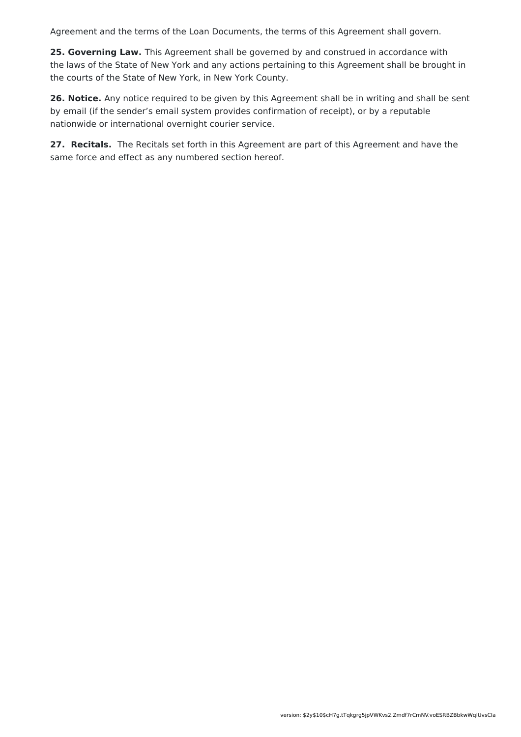Agreement and the terms of the Loan Documents, the terms of this Agreement shall govern.

**25. Governing Law.** This Agreement shall be governed by and construed in accordance with the laws of the State of New York and any actions pertaining to this Agreement shall be brought in the courts of the State of New York, in New York County.

**26. Notice.** Any notice required to be given by this Agreement shall be in writing and shall be sent by email (if the sender's email system provides confirmation of receipt), or by a reputable nationwide or international overnight courier service.

**27. Recitals.** The Recitals set forth in this Agreement are part of this Agreement and have the same force and effect as any numbered section hereof.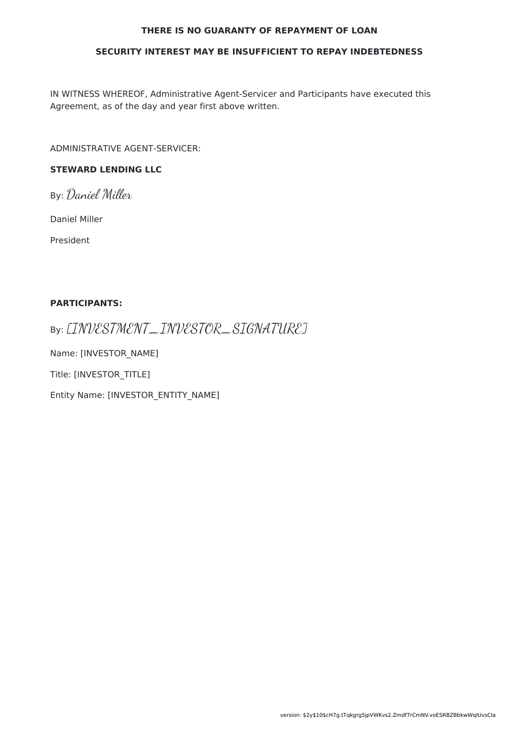#### **THERE IS NO GUARANTY OF REPAYMENT OF LOAN**

#### **SECURITY INTEREST MAY BE INSUFFICIENT TO REPAY INDEBTEDNESS**

IN WITNESS WHEREOF, Administrative Agent-Servicer and Participants have executed this Agreement, as of the day and year first above written.

ADMINISTRATIVE AGENT-SERVICER:

### **STEWARD LENDING LLC**

By: Daniel Miller

Daniel Miller

President

#### **PARTICIPANTS:**

By: [INVESTMENT\_INVESTOR\_SIGNATURE]

Name: [INVESTOR\_NAME]

Title: [INVESTOR\_TITLE]

Entity Name: [INVESTOR\_ENTITY\_NAME]